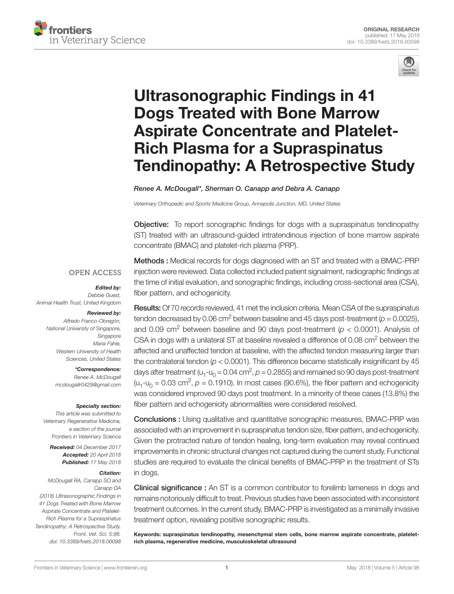



# [Ultrasonographic Findings in 41](http://www.frontiersin.org/articles/10.3389/fvets.2018.00098/full)  [Dogs Treated with Bone Marrow](http://www.frontiersin.org/articles/10.3389/fvets.2018.00098/full)  [Aspirate Concentrate and Platelet-](http://www.frontiersin.org/articles/10.3389/fvets.2018.00098/full)[Rich Plasma for a Supraspinatus](http://www.frontiersin.org/articles/10.3389/fvets.2018.00098/full)  Tendinopathy: A [Retrospective Study](http://www.frontiersin.org/articles/10.3389/fvets.2018.00098/full)

*[Renee A. McDougall\\*](http://loop.frontiersin.org/people/503820/overview), [Sherman O. Canapp](http://loop.frontiersin.org/people/276986/overview) and [Debra A. Canapp](http://loop.frontiersin.org/people/343538/overview)*

*Veterinary Orthopedic and Sports Medicine Group, Annapolis Junction, MD, United States*

Objective: To report sonographic findings for dogs with a supraspinatus tendinopathy (ST) treated with an ultrasound-guided intratendinous injection of bone marrow aspirate concentrate (BMAC) and platelet-rich plasma (PRP).

## **OPEN ACCESS**

*Edited by:* 

*Debbie Guest, Animal Health Trust, United Kingdom*

#### *Reviewed by:*

*Alfredo Franco-Obregón, National University of Singapore, Singapore Maria Fahie, Western University of Health Sciences, United States*

> *\*Correspondence: Renee A. McDougall [mcdougallr0429@gmail.com](mailto:mcdougallr0429@gmail.com)*

#### *Specialty section:*

*This article was submitted to Veterinary Regenerative Medicine, a section of the journal Frontiers in Veterinary Science*

*Received: 04 December 2017 Accepted: 20 April 2018 Published: 17 May 2018*

#### *Citation:*

*McDougall RA, Canapp SO and Canapp DA (2018) Ultrasonographic Findings in 41 Dogs Treated with Bone Marrow Aspirate Concentrate and Platelet-Rich Plasma for a Supraspinatus Tendinopathy: A Retrospective Study. Front. Vet. Sci. 5:98. [doi: 10.3389/fvets.2018.00098](https://doi.org/10.3389/fvets.2018.00098)* Methods : Medical records for dogs diagnosed with an ST and treated with a BMAC-PRP injection were reviewed. Data collected included patient signalment, radiographic findings at the time of initial evaluation, and sonographic findings, including cross-sectional area (CSA), fiber pattern, and echogenicity.

Results: Of 70 records reviewed, 41 met the inclusion criteria. Mean CSA of the supraspinatus tendon decreased by 0.06 cm<sup>2</sup> between baseline and 45 days post-treatment ( $p = 0.0025$ ), and 0.09 cm<sup>2</sup> between baseline and 90 days post-treatment ( $p < 0.0001$ ). Analysis of CSA in dogs with a unilateral ST at baseline revealed a difference of 0.08 cm<sup>2</sup> between the affected and unaffected tendon at baseline, with the affected tendon measuring larger than the contralateral tendon (*p* < 0.0001). This difference became statistically insignificant by 45 days after treatment ( $u_1$ - $u_0$  = 0.04 cm<sup>2</sup>,  $p$  = 0.2855) and remained so 90 days post-treatment  $(u_1-u_0 = 0.03 \text{ cm}^2, p = 0.1910)$ . In most cases (90.6%), the fiber pattern and echogenicity was considered improved 90 days post treatment. In a minority of these cases (13.8%) the fiber pattern and echogenicity abnormalities were considered resolved.

Conclusions : Using qualitative and quantitative sonographic measures, BMAC-PRP was associated with an improvement in supraspinatus tendon size, fiber pattern, and echogenicity. Given the protracted nature of tendon healing, long-term evaluation may reveal continued improvements in chronic structural changes not captured during the current study. Functional studies are required to evaluate the clinical benefits of BMAC-PRP in the treatment of STs in dogs.

Clinical significance : An ST is a common contributor to forelimb lameness in dogs and remains notoriously difficult to treat. Previous studies have been associated with inconsistent treatment outcomes. In the current study, BMAC-PRP is investigated as a minimally invasive treatment option, revealing positive sonographic results.

Keywords: supraspinatus tendinopathy, mesenchymal stem cells, bone marrow aspirate concentrate, plateletrich plasma, regenerative medicine, musculoskeletal ultrasound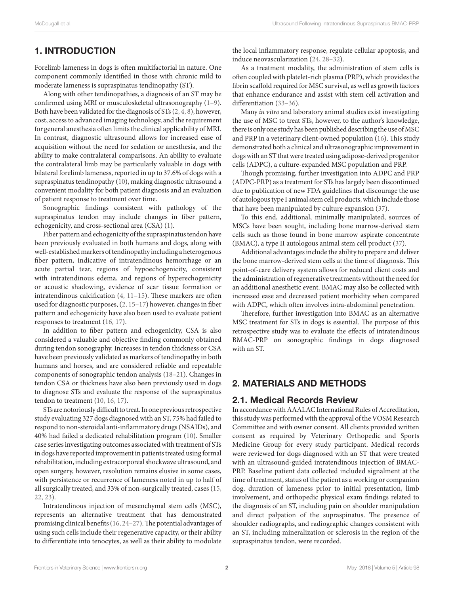# 1. Introduction

Forelimb lameness in dogs is often multifactorial in nature. One component commonly identified in those with chronic mild to moderate lameness is supraspinatus tendinopathy (ST).

Along with other tendinopathies, a diagnosis of an ST may be confirmed using MRI or musculoskeletal ultrasonography [\(1–9](#page-7-0)). Both have been validated for the diagnosis of STs [\(2, 4, 8\)](#page-7-1), however, cost, access to advanced imaging technology, and the requirement for general anesthesia often limits the clinical applicability of MRI. In contrast, diagnostic ultrasound allows for increased ease of acquisition without the need for sedation or anesthesia, and the ability to make contralateral comparisons. An ability to evaluate the contralateral limb may be particularly valuable in dogs with bilateral forelimb lameness, reported in up to 37.6% of dogs with a supraspinatus tendinopathy [\(10](#page-7-2)), making diagnostic ultrasound a convenient modality for both patient diagnosis and an evaluation of patient response to treatment over time.

Sonographic findings consistent with pathology of the supraspinatus tendon may include changes in fiber pattern, echogenicity, and cross-sectional area (CSA) ([1](#page-7-0)).

Fiber pattern and echogenicity of the supraspinatus tendon have been previously evaluated in both humans and dogs, along with well-established markers of tendinopathy including a heterogenous fiber pattern, indicative of intratendinous hemorrhage or an acute partial tear, regions of hypoechogenicity, consistent with intratendinous edema, and regions of hyperechogenicity or acoustic shadowing, evidence of scar tissue formation or intratendinous calcification ([4, 11–15\)](#page-7-3). These markers are often used for diagnostic purposes, ([2, 15–17\)](#page-7-1) however, changes in fiber pattern and echogenicity have also been used to evaluate patient responses to treatment ([16, 17\)](#page-8-0).

In addition to fiber pattern and echogenicity, CSA is also considered a valuable and objective finding commonly obtained during tendon sonography. Increases in tendon thickness or CSA have been previously validated as markers of tendinopathy in both humans and horses, and are considered reliable and repeatable components of sonographic tendon analysis [\(18–21](#page-8-1)). Changes in tendon CSA or thickness have also been previously used in dogs to diagnose STs and evaluate the response of the supraspinatus tendon to treatment ([10, 16, 17\)](#page-7-2).

STs are notoriously difficult to treat. In one previous retrospective study evaluating 327 dogs diagnosed with an ST, 75% had failed to respond to non-steroidal anti-inflammatory drugs (NSAIDs), and 40% had failed a dedicated rehabilitation program [\(10](#page-7-2)). Smaller case series investigating outcomes associated with treatment of STs in dogs have reported improvement in patients treated using formal rehabilitation, including extracorporeal shockwave ultrasound, and open surgery, however, resolution remains elusive in some cases, with persistence or recurrence of lameness noted in up to half of all surgically treated, and 33% of non-surgically treated, cases [\(15,](#page-8-2)  [22, 23\)](#page-8-2).

Intratendinous injection of mesenchymal stem cells (MSC), represents an alternative treatment that has demonstrated promising clinical benefits ([16, 24–27](#page-8-0)). The potential advantages of using such cells include their regenerative capacity, or their ability to differentiate into tenocytes, as well as their ability to modulate

the local inflammatory response, regulate cellular apoptosis, and induce neovascularization [\(24, 28–32\)](#page-8-3).

As a treatment modality, the administration of stem cells is often coupled with platelet-rich plasma (PRP), which provides the fibrin scaffold required for MSC survival, as well as growth factors that enhance endurance and assist with stem cell activation and differentiation [\(33–36\)](#page-8-4).

Many *in vitro* and laboratory animal studies exist investigating the use of MSC to treat STs, however, to the author's knowledge, there is only one study has been published describing the use of MSC and PRP in a veterinary client-owned population ([16\)](#page-8-0). This study demonstrated both a clinical and ultrasonographic improvement in dogs with an ST that were treated using adipose-derived progenitor cells (ADPC), a culture-expanded MSC population and PRP.

Though promising, further investigation into ADPC and PRP (ADPC-PRP) as a treatment for STs has largely been discontinued due to publication of new FDA guidelines that discourage the use of autologous type I animal stem cell products, which include those that have been manipulated by culture expansion ([37](#page-8-5)).

To this end, additional, minimally manipulated, sources of MSCs have been sought, including bone marrow-derived stem cells such as those found in bone marrow aspirate concentrate (BMAC), a type II autologous animal stem cell product ([37\)](#page-8-5).

Additional advantages include the ability to prepare and deliver the bone marrow-derived stem cells at the time of diagnosis. This point-of-care delivery system allows for reduced client costs and the administration of regenerative treatments without the need for an additional anesthetic event. BMAC may also be collected with increased ease and decreased patient morbidity when compared with ADPC, which often involves intra-abdominal penetration.

Therefore, further investigation into BMAC as an alternative MSC treatment for STs in dogs is essential. The purpose of this retrospective study was to evaluate the effects of intratendinous BMAC-PRP on sonographic findings in dogs diagnosed with an ST.

## 2. Materials and Methods

## 2.1. Medical Records Review

In accordance with AAALAC International Rules of Accreditation, this study was performed with the approval of the VOSM Research Committee and with owner consent. All clients provided written consent as required by Veterinary Orthopedic and Sports Medicine Group for every study participant. Medical records were reviewed for dogs diagnosed with an ST that were treated with an ultrasound-guided intratendinous injection of BMAC-PRP. Baseline patient data collected included signalment at the time of treatment, status of the patient as a working or companion dog, duration of lameness prior to initial presentation, limb involvement, and orthopedic physical exam findings related to the diagnosis of an ST, including pain on shoulder manipulation and direct palpation of the supraspinatus. The presence of shoulder radiographs, and radiographic changes consistent with an ST, including mineralization or sclerosis in the region of the supraspinatus tendon, were recorded.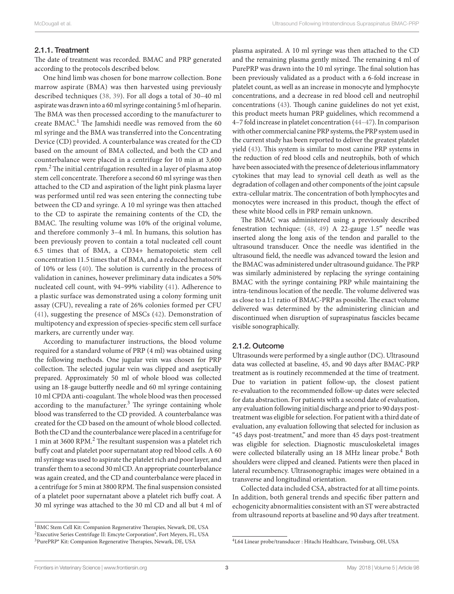#### 2.1.1. Treatment

The date of treatment was recorded. BMAC and PRP generated according to the protocols described below.

One hind limb was chosen for bone marrow collection. Bone marrow aspirate (BMA) was then harvested using previously described techniques ([38, 39\)](#page-8-6). For all dogs a total of 30–40 ml aspirate was drawn into a 60 ml syringe containing 5 ml of heparin. The BMA was then processed according to the manufacturer to create BMAC.<sup>1</sup> The Jamshidi needle was removed from the 60 ml syringe and the BMA was transferred into the Concentrating Device (CD) provided. A counterbalance was created for the CD based on the amount of BMA collected, and both the CD and counterbalance were placed in a centrifuge for 10 min at 3,600 rpm. $^2$  The initial centrifugation resulted in a layer of plasma atop stem cell concentrate. Therefore a second 60 ml syringe was then attached to the CD and aspiration of the light pink plasma layer was performed until red was seen entering the connecting tube between the CD and syringe. A 10 ml syringe was then attached to the CD to aspirate the remaining contents of the CD, the BMAC. The resulting volume was 10% of the original volume, and therefore commonly 3–4 ml. In humans, this solution has been previously proven to contain a total nucleated cell count 6.5 times that of BMA, a CD34+ hematopoietic stem cell concentration 11.5 times that of BMA, and a reduced hematocrit of 10% or less ([40](#page-8-7)). The solution is currently in the process of validation in canines, however preliminary data indicates a 50% nucleated cell count, with 94–99% viability [\(41\)](#page-8-8). Adherence to a plastic surface was demonstrated using a colony forming unit assay (CFU), revealing a rate of 26% colonies formed per CFU ([41\)](#page-8-8), suggesting the presence of MSCs ([42](#page-8-9)). Demonstration of multipotency and expression of species-specific stem cell surface markers, are currently under way.

According to manufacturer instructions, the blood volume required for a standard volume of PRP (4 ml) was obtained using the following methods. One jugular vein was chosen for PRP collection. The selected jugular vein was clipped and aseptically prepared. Approximately 50 ml of whole blood was collected using an 18-gauge butterfly needle and 60 ml syringe containing 10 ml CPDA anti-coagulant. The whole blood was then processed according to the manufacturer.<sup>3</sup> The syringe containing whole blood was transferred to the CD provided. A counterbalance was created for the CD based on the amount of whole blood collected. Both the CD and the counterbalance were placed in a centrifuge for 1 min at 3600 RPM.2 The resultant suspension was a platelet rich buffy coat and platelet poor supernatant atop red blood cells. A 60 ml syringe was used to aspirate the platelet rich and poor layer, and transfer them to a second 30 ml CD. An appropriate counterbalance was again created, and the CD and counterbalance were placed in a centrifuge for 5 min at 3800 RPM. The final suspension consisted of a platelet poor supernatant above a platelet rich buffy coat. A 30 ml syringe was attached to the 30 ml CD and all but 4 ml of

<sup>1</sup>BMC Stem Cell Kit: Companion Regenerative Therapies, Newark, DE, USA

<sup>2</sup>Executive Series Centrifuge II: Emcyte Corporation®, Fort Meyers, FL, USA 3PurePRP® Kit: Companion Regenerative Therapies, Newark, DE, USA

plasma aspirated. A 10 ml syringe was then attached to the CD and the remaining plasma gently mixed. The remaining 4 ml of PurePRP was drawn into the 10 ml syringe. The final solution has been previously validated as a product with a 6-fold increase in platelet count, as well as an increase in monocyte and lymphocyte concentrations, and a decrease in red blood cell and neutrophil concentrations [\(43](#page-8-10)). Though canine guidelines do not yet exist, this product meets human PRP guidelines, which recommend a 4–7 fold increase in platelet concentration [\(44–47](#page-8-11)). In comparison with other commercial canine PRP systems, the PRP system used in the current study has been reported to deliver the greatest platelet yield [\(43](#page-8-10)). This system is similar to most canine PRP systems in the reduction of red blood cells and neutrophils, both of which have been associated with the presence of deleterious inflammatory cytokines that may lead to synovial cell death as well as the degradation of collagen and other components of the joint capsule extra-cellular matrix. The concentration of both lymphocytes and monocytes were increased in this product, though the effect of these white blood cells in PRP remain unknown.

The BMAC was administered using a previously described fenestration technique: ([48, 49\)](#page-8-12) A 22-gauge 1.5″ needle was inserted along the long axis of the tendon and parallel to the ultrasound transducer. Once the needle was identified in the ultrasound field, the needle was advanced toward the lesion and the BMAC was administered under ultrasound guidance. The PRP was similarly administered by replacing the syringe containing BMAC with the syringe containing PRP while maintaining the intra-tendinous location of the needle. The volume delivered was as close to a 1:1 ratio of BMAC-PRP as possible. The exact volume delivered was determined by the administering clinician and discontinued when disruption of supraspinatus fascicles became visible sonographically.

#### 2.1.2. Outcome

Ultrasounds were performed by a single author (DC). Ultrasound data was collected at baseline, 45, and 90 days after BMAC-PRP treatment as is routinely recommended at the time of treatment. Due to variation in patient follow-up, the closest patient re-evaluation to the recommended follow-up dates were selected for data abstraction. For patients with a second date of evaluation, any evaluation following initial discharge and prior to 90 days posttreatment was eligible for selection. For patient with a third date of evaluation, any evaluation following that selected for inclusion as "45 days post-treatment," and more than 45 days post-treatment was eligible for selection. Diagnostic musculoskeletal images were collected bilaterally using an 18 MHz linear probe.<sup>4</sup> Both shoulders were clipped and cleaned. Patients were then placed in lateral recumbency. Ultrasonographic images were obtained in a transverse and longitudinal orientation.

Collected data included CSA, abstracted for at all time points. In addition, both general trends and specific fiber pattern and echogenicity abnormalities consistent with an ST were abstracted from ultrasound reports at baseline and 90 days after treatment.

<sup>4</sup>L64 Linear probe/transducer : Hitachi Healthcare, Twinsburg, OH, USA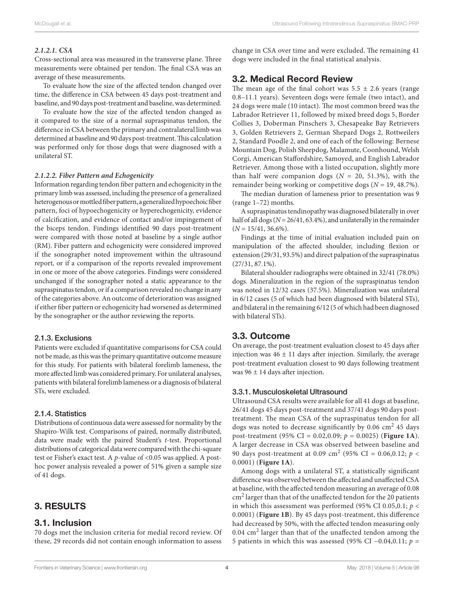#### *2.1.2.1. CSA*

Cross-sectional area was measured in the transverse plane. Three measurements were obtained per tendon. The final CSA was an average of these measurements.

To evaluate how the size of the affected tendon changed over time, the difference in CSA between 45 days post-treatment and baseline, and 90 days post-treatment and baseline, was determined.

To evaluate how the size of the affected tendon changed as it compared to the size of a normal supraspinatus tendon, the difference in CSA between the primary and contralateral limb was determined at baseline and 90 days post-treatment. This calculation was performed only for those dogs that were diagnosed with a unilateral ST.

#### *2.1.2.2. Fiber Pattern and Echogenicity*

Information regarding tendon fiber pattern and echogenicity in the primary limb was assessed, including the presence of a generalized heterogenous or mottled fiber pattern, a generalized hypoechoic fiber pattern, foci of hypoechogenicity or hyperechogenicity, evidence of calcification, and evidence of contact and/or impingement of the biceps tendon. Findings identified 90 days post-treatment were compared with those noted at baseline by a single author (RM). Fiber pattern and echogenicity were considered improved if the sonographer noted improvement within the ultrasound report, or if a comparison of the reports revealed improvement in one or more of the above categories. Findings were considered unchanged if the sonographer noted a static appearance to the supraspinatus tendon, or if a comparison revealed no change in any of the categories above. An outcome of deterioration was assigned if either fiber pattern or echogenicity had worsened as determined by the sonographer or the author reviewing the reports.

#### 2.1.3. Exclusions

Patients were excluded if quantitative comparisons for CSA could not be made, as this was the primary quantitative outcome measure for this study. For patients with bilateral forelimb lameness, the more affected limb was considered primary. For unilateral analyses, patients with bilateral forelimb lameness or a diagnosis of bilateral STs, were excluded.

#### 2.1.4. Statistics

Distributions of continuous data were assessed for normality by the Shapiro-Wilk test. Comparisons of paired, normally distributed, data were made with the paired Student's *t*-test. Proportional distributions of categorical data were compared with the chi-square test or Fisher's exact test. A *p*-value of <0.05 was applied. A posthoc power analysis revealed a power of 51% given a sample size of 41 dogs.

## 3. Results

#### 3.1. Inclusion

70 dogs met the inclusion criteria for medial record review. Of these, 29 records did not contain enough information to assess change in CSA over time and were excluded. The remaining 41 dogs were included in the final statistical analysis.

## 3.2. Medical Record Review

The mean age of the final cohort was  $5.5 \pm 2.6$  years (range 0.8–11.1 years). Seventeen dogs were female (two intact), and 24 dogs were male (10 intact). The most common breed was the Labrador Retriever 11, followed by mixed breed dogs 5, Border Collies 3, Doberman Pinschers 3, Chesapeake Bay Retrievers 3, Golden Retrievers 2, German Shepard Dogs 2, Rottweilers 2, Standard Poodle 2, and one of each of the following: Bernese Mountain Dog, Polish Sheepdog, Malamute, Coonhound, Welsh Corgi, American Staffordshire, Samoyed, and English Labrador Retriever. Among those with a listed occupation, slightly more than half were companion dogs  $(N = 20, 51.3%)$ , with the remainder being working or competitive dogs (*N* = 19, 48.7%).

The median duration of lameness prior to presentation was 9 (range 1–72) months.

A supraspinatus tendinopathy was diagnosed bilaterally in over half of all dogs (*N* = 26/41, 63.4%), and unilaterally in the remainder  $(N = 15/41, 36.6\%).$ 

Findings at the time of initial evaluation included pain on manipulation of the affected shoulder, including flexion or extension (29/31, 93.5%) and direct palpation of the supraspinatus (27/31, 87.1%).

Bilateral shoulder radiographs were obtained in 32/41 (78.0%) dogs. Mineralization in the region of the supraspinatus tendon was noted in 12/32 cases (37.5%). Mineralization was unilateral in 6/12 cases (5 of which had been diagnosed with bilateral STs), and bilateral in the remaining 6/12 (5 of which had been diagnosed with bilateral STs).

## 3.3. Outcome

On average, the post-treatment evaluation closest to 45 days after injection was  $46 \pm 11$  days after injection. Similarly, the average post-treatment evaluation closest to 90 days following treatment was  $96 \pm 14$  days after injection.

#### 3.3.1. Musculoskeletal Ultrasound

Ultrasound CSA results were available for all 41 dogs at baseline, 26/41 dogs 45 days post-treatment and 37/41 dogs 90 days posttreatment. The mean CSA of the supraspinatus tendon for all dogs was noted to decrease significantly by 0.06 cm<sup>2</sup> 45 days post-treatment (95% CI = 0.02,0.09; *p* = 0.0025) (**[Figure 1A](#page-4-0)**). A larger decrease in CSA was observed between baseline and 90 days post-treatment at 0.09 cm<sup>2</sup> (95% CI = 0.06,0.12; *p* < 0.0001) (**[Figure 1A](#page-4-0)**).

Among dogs with a unilateral ST, a statistically significant difference was observed between the affected and unaffected CSA at baseline, with the affected tendon measuring an average of 0.08 cm<sup>2</sup> larger than that of the unaffected tendon for the 20 patients in which this assessment was performed (95% CI 0.05,0.1; *p* < 0.0001) (**[Figure 1B](#page-4-0)**). By 45 days post-treatment, this difference had decreased by 50%, with the affected tendon measuring only 0.04 cm<sup>2</sup> larger than that of the unaffected tendon among the 5 patients in which this was assessed (95% CI −0.04,0.11; *p* =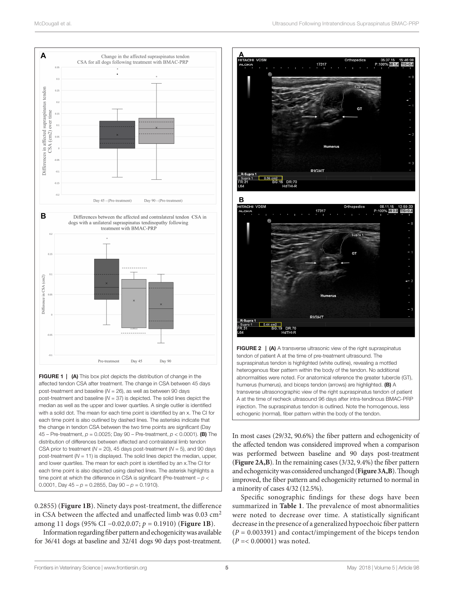

<span id="page-4-0"></span>**FIGURE 1** | (A) This box plot depicts the distribution of change in the affected tendon CSA after treatment. The change in CSA between 45 days post-treatment and baseline (*N* = 26), as well as between 90 days post-treatment and baseline (*N* = 37) is depicted. The solid lines depict the median as well as the upper and lower quartiles. A single outlier is identified with a solid dot. The mean for each time point is identified by an x. The CI for each time point is also outlined by dashed lines. The asterisks indicate that the change in tendon CSA between the two time points are significant (Day 45 – Pre-treatment, *p* = 0.0025; Day 90 – Pre-treatment, *p* < 0.0001). (B) The distribution of differences between affected and contralateral limb tendon CSA prior to treatment ( $N = 20$ ), 45 days post-treatment ( $N = 5$ ), and 90 days post-treatment (*N* = 11) is displayed. The solid lines depict the median, upper, and lower quartiles. The mean for each point is identified by an x.The CI for each time point is also depicted using dashed lines. The asterisk highlights a time point at which the difference in CSA is significant (Pre-treatment – *p* < 0.0001, Day  $45 - p = 0.2855$ , Day  $90 - p = 0.1910$ .

0.2855) (**[Figure 1B](#page-4-0)**). Ninety days post-treatment, the difference in CSA between the affected and unaffected limb was  $0.03 \text{ cm}^2$ among 11 dogs (95% CI −0.02,0.07; *p* = 0.1910) (**[Figure 1B](#page-4-0)**).

Information regarding fiber pattern and echogenicity was available for 36/41 dogs at baseline and 32/41 dogs 90 days post-treatment.



<span id="page-4-1"></span>FIGURE 2 | (A) A transverse ultrasonic view of the right supraspinatus tendon of patient A at the time of pre-treatment ultrasound. The supraspinatus tendon is highlighted (white outline), revealing a mottled heterogenous fiber pattern within the body of the tendon. No additional abnormalities were noted. For anatomical reference the greater tubercle (GT), humerus (humerus), and biceps tendon (arrows) are highlighted. (B) A transverse ultrasonographic view of the right supraspinatus tendon of patient A at the time of recheck ultrasound 96 days after intra-tendinous BMAC-PRP injection. The supraspinatus tendon is outlined. Note the homogenous, less echogenic (normal), fiber pattern within the body of the tendon.

RIGHT

0.44 cm2<br>BG:19 DR:70<br>HdTHI-R

In most cases (29/32, 90.6%) the fiber pattern and echogenicity of the affected tendon was considered improved when a comparison was performed between baseline and 90 days post-treatment (**[Figure 2A,B](#page-4-1)**). In the remaining cases (3/32, 9.4%) the fiber pattern and echogenicity was considered unchanged (**[Figure 3A,B](#page-5-0)**). Though improved, the fiber pattern and echogenicity returned to normal in a minority of cases 4/32 (12.5%).

Specific sonographic findings for these dogs have been summarized in **[Table 1](#page-5-1)**. The prevalence of most abnormalities were noted to decrease over time. A statistically significant decrease in the presence of a generalized hypoechoic fiber pattern (*P* = 0.003391) and contact/impingement of the biceps tendon (*P* =< 0.00001) was noted.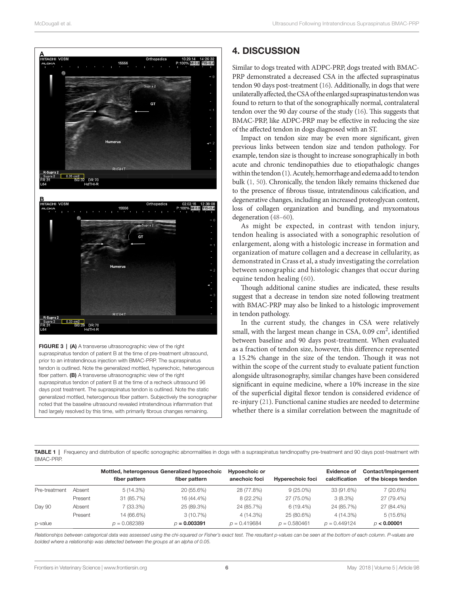

<span id="page-5-0"></span>FIGURE 3 | (A) A transverse ultrasonographic view of the right supraspinatus tendon of patient B at the time of pre-treatment ultrasound, prior to an intratendinous injection with BMAC-PRP. The supraspinatus tendon is outlined. Note the generalized mottled, hyperechoic, heterogenous fiber pattern. (B) A transverse ultrasonographic view of the right supraspinatus tendon of patient B at the time of a recheck ultrasound 96 days post treatment. The supraspinatus tendon is outlined. Note the static generalized mottled, heterogenous fiber pattern. Subjectively the sonographer noted that the baseline ultrasound revealed intratendinous inflammation that had largely resolved by this time, with primarily fibrous changes remaining.

# 4. Discussion

Similar to dogs treated with ADPC-PRP, dogs treated with BMAC-PRP demonstrated a decreased CSA in the affected supraspinatus tendon 90 days post-treatment [\(16\)](#page-8-0). Additionally, in dogs that were unilaterally affected, the CSA of the enlarged supraspinatus tendon was found to return to that of the sonographically normal, contralateral tendon over the 90 day course of the study [\(16](#page-8-0)). This suggests that BMAC-PRP, like ADPC-PRP may be effective in reducing the size of the affected tendon in dogs diagnosed with an ST.

Impact on tendon size may be even more significant, given previous links between tendon size and tendon pathology. For example, tendon size is thought to increase sonographically in both acute and chronic tendinopathies due to etiopathalogic changes within the tendon [\(1](#page-7-0)). Acutely, hemorrhage and edema add to tendon bulk [\(1, 50\)](#page-7-0). Chronically, the tendon likely remains thickened due to the presence of fibrous tissue, intratendinous calcification, and degenerative changes, including an increased proteoglycan content, loss of collagen organization and bundling, and myxomatous degeneration ([48–60](#page-8-12)).

As might be expected, in contrast with tendon injury, tendon healing is associated with a sonographic resolution of enlargement, along with a histologic increase in formation and organization of mature collagen and a decrease in cellularity, as demonstrated in Crass et al, a study investigating the correlation between sonographic and histologic changes that occur during equine tendon healing [\(60\)](#page-9-0).

Though additional canine studies are indicated, these results suggest that a decrease in tendon size noted following treatment with BMAC-PRP may also be linked to a histologic improvement in tendon pathology.

In the current study, the changes in CSA were relatively small, with the largest mean change in CSA, 0.09 cm<sup>2</sup>, identified between baseline and 90 days post-treatment. When evaluated as a fraction of tendon size, however, this difference represented a 15.2% change in the size of the tendon. Though it was not within the scope of the current study to evaluate patient function alongside ultrasonography, similar changes have been considered significant in equine medicine, where a 10% increase in the size of the superficial digital flexor tendon is considered evidence of re-injury ([21\)](#page-8-13). Functional canine studies are needed to determine whether there is a similar correlation between the magnitude of

<span id="page-5-1"></span>TABLE 1 | Frequency and distribution of specific sonographic abnormalities in dogs with a supraspinatus tendinopathy pre-treatment and 90 days post-treatment with BMAC-PRP.

|               |         | Mottled, heterogenous Generalized hypoechoic |                | Hypoechoic or  |                         | Evidence of    | Contact/Impingement  |
|---------------|---------|----------------------------------------------|----------------|----------------|-------------------------|----------------|----------------------|
|               |         | fiber pattern                                | fiber pattern  | anechoic foci  | <b>Hyperechoic foci</b> | calcification  | of the biceps tendon |
| Pre-treatment | Absent  | $5(14.3\%)$                                  | 20 (55.6%)     | 28 (77.8%)     | $9(25.0\%)$             | 33 (91.6%)     | 7(20.6%)             |
|               | Present | 31 (85.7%)                                   | 16 (44.4%)     | $8(22.2\%)$    | 27 (75.0%)              | 3(8.3%)        | 27 (79.4%)           |
| Day 90        | Absent  | 7 (33.3%)                                    | 25 (89.3%)     | 24 (85.7%)     | $6(19.4\%)$             | 24 (85.7%)     | 27 (84.4%)           |
|               | Present | 14 (66.6%)                                   | $3(10.7\%)$    | $4(14.3\%)$    | 25 (80.6%)              | 4 (14.3%)      | 5(15.6%)             |
| p-value       |         | $p = 0.082389$                               | $D = 0.003391$ | $p = 0.419684$ | $p = 0.580461$          | $p = 0.449124$ | D < 0.00001          |

*Relationships between categorical data was assessed using the chi-squared or Fisher's exact test. The resultant p-values can be seen at the bottom of each column. P-values are bolded where a relationship was detected between the groups at an alpha of 0.05.*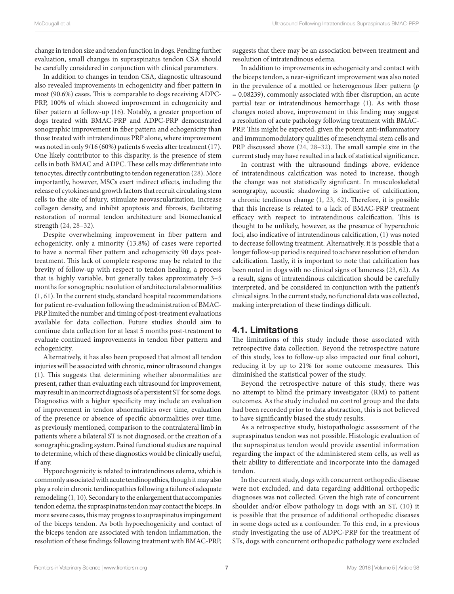change in tendon size and tendon function in dogs. Pending further evaluation, small changes in supraspinatus tendon CSA should be carefully considered in conjunction with clinical parameters.

In addition to changes in tendon CSA, diagnostic ultrasound also revealed improvements in echogenicity and fiber pattern in most (90.6%) cases. This is comparable to dogs receiving ADPC-PRP, 100% of which showed improvement in echogenicity and fiber pattern at follow-up [\(16\)](#page-8-0). Notably, a greater proportion of dogs treated with BMAC-PRP and ADPC-PRP demonstrated sonographic improvement in fiber pattern and echogenicity than those treated with intratendinous PRP alone, where improvement was noted in only 9/16 (60%) patients 6 weeks after treatment [\(17](#page-8-14)). One likely contributor to this disparity, is the presence of stem cells in both BMAC and ADPC. These cells may differentiate into tenocytes, directly contributing to tendon regeneration [\(28](#page-8-15)). More importantly, however, MSCs exert indirect effects, including the release of cytokines and growth factors that recruit circulating stem cells to the site of injury, stimulate neovascularization, increase collagen density, and inhibit apoptosis and fibrosis, facilitating restoration of normal tendon architecture and biomechanical strength [\(24, 28–32\)](#page-8-3).

Despite overwhelming improvement in fiber pattern and echogenicity, only a minority (13.8%) of cases were reported to have a normal fiber pattern and echogenicity 90 days posttreatment. This lack of complete response may be related to the brevity of follow-up with respect to tendon healing, a process that is highly variable, but generally takes approximately 3–5 months for sonographic resolution of architectural abnormalities ([1, 61\)](#page-7-0). In the current study, standard hospital recommendations for patient re-evaluation following the administration of BMAC-PRP limited the number and timing of post-treatment evaluations available for data collection. Future studies should aim to continue data collection for at least 5 months post-treatment to evaluate continued improvements in tendon fiber pattern and echogenicity.

Alternatively, it has also been proposed that almost all tendon injuries will be associated with chronic, minor ultrasound changes ([1](#page-7-0)). This suggests that determining whether abnormalities are present, rather than evaluating each ultrasound for improvement, may result in an incorrect diagnosis of a persistent ST for some dogs. Diagnostics with a higher specificity may include an evaluation of improvement in tendon abnormalities over time, evaluation of the presence or absence of specific abnormalities over time, as previously mentioned, comparison to the contralateral limb in patients where a bilateral ST is not diagnosed, or the creation of a sonographic grading system. Paired functional studies are required to determine, which of these diagnostics would be clinically useful, if any.

Hypoechogenicity is related to intratendinous edema, which is commonly associated with acute tendinopathies, though it may also play a role in chronic tendinopathies following a failure of adequate remodeling ([1, 10\)](#page-7-0). Secondary to the enlargement that accompanies tendon edema, the supraspinatus tendon may contact the biceps. In more severe cases, this may progress to supraspinatus impingement of the biceps tendon. As both hypoechogenicity and contact of the biceps tendon are associated with tendon inflammation, the resolution of these findings following treatment with BMAC-PRP, suggests that there may be an association between treatment and resolution of intratendinous edema.

In addition to improvements in echogenicity and contact with the biceps tendon, a near-significant improvement was also noted in the prevalence of a mottled or heterogenous fiber pattern (*p* = 0.08239), commonly associated with fiber disruption, an acute partial tear or intratendinous hemorrhage ([1](#page-7-0)). As with those changes noted above, improvement in this finding may suggest a resolution of acute pathology following treatment with BMAC-PRP. This might be expected, given the potent anti-inflammatory and immunomodulatory qualities of mesenchymal stem cells and PRP discussed above ([24, 28–32](#page-8-3)). The small sample size in the current study may have resulted in a lack of statistical significance.

In contrast with the ultrasound findings above, evidence of intratendinous calcification was noted to increase, though the change was not statistically significant. In musculoskeletal sonography, acoustic shadowing is indicative of calcification, a chronic tendinous change [\(1, 23, 62\)](#page-7-0). Therefore, it is possible that this increase is related to a lack of BMAC-PRP treatment efficacy with respect to intratendinous calcification. This is thought to be unlikely, however, as the presence of hyperechoic foci, also indicative of intratendinous calcification, ([1](#page-7-0)) was noted to decrease following treatment. Alternatively, it is possible that a longer follow-up period is required to achieve resolution of tendon calcification. Lastly, it is important to note that calcification has been noted in dogs with no clinical signs of lameness [\(23, 62\)](#page-8-16). As a result, signs of intratendinous calcification should be carefully interpreted, and be considered in conjunction with the patient's clinical signs. In the current study, no functional data was collected, making interpretation of these findings difficult.

## 4.1. Limitations

The limitations of this study include those associated with retrospective data collection. Beyond the retrospective nature of this study, loss to follow-up also impacted our final cohort, reducing it by up to 21% for some outcome measures. This diminished the statistical power of the study.

Beyond the retrospective nature of this study, there was no attempt to blind the primary investigator (RM) to patient outcomes. As the study included no control group and the data had been recorded prior to data abstraction, this is not believed to have significantly biased the study results.

As a retrospective study, histopathologic assessment of the supraspinatus tendon was not possible. Histologic evaluation of the supraspinatus tendon would provide essential information regarding the impact of the administered stem cells, as well as their ability to differentiate and incorporate into the damaged tendon.

In the current study, dogs with concurrent orthopedic disease were not excluded, and data regarding additional orthopedic diagnoses was not collected. Given the high rate of concurrent shoulder and/or elbow pathology in dogs with an ST, [\(10\)](#page-7-2) it is possible that the presence of additional orthopedic diseases in some dogs acted as a confounder. To this end, in a previous study investigating the use of ADPC-PRP for the treatment of STs, dogs with concurrent orthopedic pathology were excluded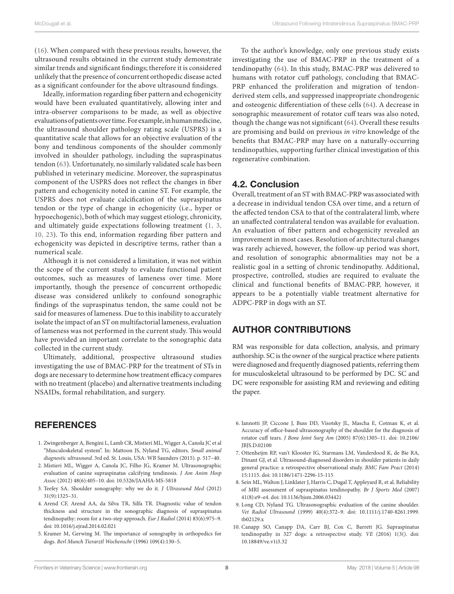([16](#page-8-0)). When compared with these previous results, however, the ultrasound results obtained in the current study demonstrate similar trends and significant findings; therefore it is considered unlikely that the presence of concurrent orthopedic disease acted as a significant confounder for the above ultrasound findings.

Ideally, information regarding fiber pattern and echogenicity would have been evaluated quantitatively, allowing inter and intra-observer comparisons to be made, as well as objective evaluations of patients over time. For example, in human medicine, the ultrasound shoulder pathology rating scale (USPRS) is a quantitative scale that allows for an objective evaluation of the bony and tendinous components of the shoulder commonly involved in shoulder pathology, including the supraspinatus tendon ([63](#page-9-1)). Unfortunately, no similarly validated scale has been published in veterinary medicine. Moreover, the supraspinatus component of the USPRS does not reflect the changes in fiber pattern and echogenicity noted in canine ST. For example, the USPRS does not evaluate calcification of the supraspinatus tendon or the type of change in echogenicity (i.e., hyper or hypoechogenic), both of which may suggest etiology, chronicity, and ultimately guide expectations following treatment ([1, 3,](#page-7-0)  [10, 23\)](#page-7-0). To this end, information regarding fiber pattern and echogenicity was depicted in descriptive terms, rather than a numerical scale.

Although it is not considered a limitation, it was not within the scope of the current study to evaluate functional patient outcomes, such as measures of lameness over time. More importantly, though the presence of concurrent orthopedic disease was considered unlikely to confound sonographic findings of the supraspinatus tendon, the same could not be said for measures of lameness. Due to this inability to accurately isolate the impact of an ST on multifactorial lameness, evaluation of lameness was not performed in the current study. This would have provided an important correlate to the sonographic data collected in the current study.

Ultimately, additional, prospective ultrasound studies investigating the use of BMAC-PRP for the treatment of STs in dogs are necessary to determine how treatment efficacy compares with no treatment (placebo) and alternative treatments including NSAIDs, formal rehabilitation, and surgery.

To the author's knowledge, only one previous study exists investigating the use of BMAC-PRP in the treatment of a tendinopathy [\(64\)](#page-9-2). In this study, BMAC-PRP was delivered to humans with rotator cuff pathology, concluding that BMAC-PRP enhanced the proliferation and migration of tendonderived stem cells, and suppressed inappropriate chondrogenic and osteogenic differentiation of these cells ([64](#page-9-2)). A decrease in sonographic measurement of rotator cuff tears was also noted, though the change was not significant ([64](#page-9-2)). Overall these results are promising and build on previous *in vitro* knowledge of the benefits that BMAC-PRP may have on a naturally-occurring tendinopathies, supporting further clinical investigation of this regenerative combination.

## 4.2. Conclusion

Overall, treatment of an ST with BMAC-PRP was associated with a decrease in individual tendon CSA over time, and a return of the affected tendon CSA to that of the contralateral limb, where an unaffected contralateral tendon was available for evaluation. An evaluation of fiber pattern and echogenicity revealed an improvement in most cases. Resolution of architectural changes was rarely achieved, however, the follow-up period was short, and resolution of sonographic abnormalities may not be a realistic goal in a setting of chronic tendinopathy. Additional, prospective, controlled, studies are required to evaluate the clinical and functional benefits of BMAC-PRP, however, it appears to be a potentially viable treatment alternative for ADPC-PRP in dogs with an ST.

## Author Contributions

RM was responsible for data collection, analysis, and primary authorship. SC is the owner of the surgical practice where patients were diagnosed and frequently diagnosed patients, referring them for musculoskeletal ultrasound to be performed by DC. SC and DC were responsible for assisting RM and reviewing and editing the paper.

## **REFERENCES**

- <span id="page-7-0"></span>1. Zwingenberger A, Bengini L, Lamb CR, Mistieri ML, Wigger A, Canola JC et al "Musculoskeletal system". In: Mattoon JS, Nyland TG, editors. *Small animal diagnostic ultrasound*. 3rd ed. St. Louis, USA: WB Saunders (2015). p. 517–40.
- <span id="page-7-1"></span>2. Mistieri ML, Wigger A, Canola JC, Filho JG, Kramer M. Ultrasonographic evaluation of canine supraspinatus calcifying tendinosis. *J Am Anim Hosp Assoc* (2012) 48(6):405–10. doi: [10.5326/JAAHA-MS-5818](http://dx.doi.org/10.5326/JAAHA-MS-5818)
- 3. Teefey SA. Shoulder sonography: why we do it. *J Ultrasound Med* (2012) 31(9):1325–31.
- <span id="page-7-3"></span>4. Arend CF, Arend AA, da Silva TR, Silfa TR. Diagnostic value of tendon thickness and structure in the sonographic diagnosis of supraspinatus tendinopathy: room for a two-step approach. *Eur J Radiol* (2014) 83(6):975–9. doi: [10.1016/j.ejrad.2014.02.021](http://dx.doi.org/10.1016/j.ejrad.2014.02.021)
- 5. Kramer M, Gerwing M. The importance of sonography in orthopedics for dogs. *Berl Munch Tierarztl Wochenschr* (1996) 109(4):130–5.
- 6. Iannotti JP, Ciccone J, Buss DD, Visotsky JL, Mascha E, Cotman K, et al. Accuracy of office-based ultrasonography of the shoulder for the diagnosis of rotator cuff tears. *J Bone Joint Surg Am* (2005) 87(6):1305–11. doi: [10.2106/](http://dx.doi.org/10.2106/JBJS.D.02100) [JBJS.D.02100](http://dx.doi.org/10.2106/JBJS.D.02100)
- 7. Ottenheijm RP, van't Klooster IG, Starmans LM, Vanderdood K, de Bie RA, Dinant GJ, et al. Ultrasound-diagnosed disorders in shoulder patients in daily general practice: a retrospective observational study. *BMC Fam Pract* (2014) 15:1115. doi: [10.1186/1471-2296-15-115](http://dx.doi.org/10.1186/1471-2296-15-115)
- 8. Sein ML, Walton J, Linklater J, Harris C, Dugal T, Appleyard R, et al. Reliability of MRI assessment of supraspinatus tendinopathy. *Br J Sports Med* (2007) 41(8):e9–e4. doi: [10.1136/bjsm.2006.034421](http://dx.doi.org/10.1136/bjsm.2006.034421)
- 9. Long CD, Nyland TG. Ultrasonographic evaluation of the canine shoulder. *Vet Radiol Ultrasound* (1999) 40(4):372–9. doi: [10.1111/j.1740-8261.1999.](http://dx.doi.org/10.1111/j.1740-8261.1999.tb02129.x) [tb02129.x](http://dx.doi.org/10.1111/j.1740-8261.1999.tb02129.x)
- <span id="page-7-2"></span>10. Canapp SO, Canapp DA, Carr BJ, Cox C, Barrett JG. Supraspinatus tendinopathy in 327 dogs: a retrospective study. *VE* (2016) 1(3(). doi: [10.18849/ve.v1i3.32](http://dx.doi.org/10.18849/ve.v1i3.32)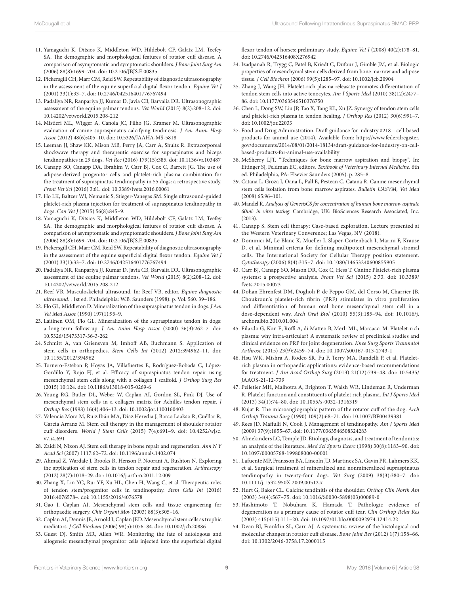- 11. Yamaguchi K, Ditsios K, Middleton WD, Hildebolt CF, Galatz LM, Teefey SA. The demographic and morphological features of rotator cuff disease. A comparison of asymptomatic and symptomatic shoulders. *J Bone Joint Surg Am* (2006) 88(8):1699–704. doi: [10.2106/JBJS.E.00835](http://dx.doi.org/10.2106/JBJS.E.00835)
- 12. Pickersgill CH, Marr CM, Reid SW. Repeatability of diagnostic ultrasonography in the assessment of the equine superficial digital flexor tendon. *Equine Vet J* (2001) 33(1):33–7. doi: [10.2746/042516401776767494](http://dx.doi.org/10.2746/042516401776767494)
- 13. Padaliya NR, Ranpariya JJ, Kumar D, Javia CB, Barvalia DR. Ultrasonographic assessment of the equine palmar tendons. *Vet World* (2015) 8(2):208–12. doi: [10.14202/vetworld.2015.208-212](http://dx.doi.org/10.14202/vetworld.2015.208-212)
- 14. Mistieri ML, Wigger A, Canola JC, Filho JG, Kramer M. Ultrasonographic evaluation of canine supraspinatus calcifying tendinosis. *J Am Anim Hosp Assoc* (2012) 48(6):405–10. doi: [10.5326/JAAHA-MS-5818](http://dx.doi.org/10.5326/JAAHA-MS-5818)
- <span id="page-8-2"></span>15. Leeman JJ, Shaw KK, Mison MB, Perry JA, Carr A, Shultz R. Extracorporeal shockwave therapy and therapeutic exercise for supraspinatus and biceps tendinopathies in 29 dogs. *Vet Rec* (2016) 179(15):385. doi: [10.1136/vr.103487](http://dx.doi.org/10.1136/vr.103487)
- <span id="page-8-0"></span>16. Canapp SO, Canapp DA, Ibrahim V, Carr BJ, Cox C, Barrett JG. The use of adipose-derived progenitor cells and platelet-rich plasma combination for the treatment of supraspinatus tendinopathy in 55 dogs: a retrospective study. *Front Vet Sci* (2016) 3:61. doi: [10.3389/fvets.2016.00061](http://dx.doi.org/10.3389/fvets.2016.00061)
- <span id="page-8-14"></span>17. Ho LK, Baltzer WI, Nemanic S, Stieger-Vanegas SM. Single ultrasound-guided platelet-rich plasma injection for treatment of supraspinatus tendinopathy in dogs. *Can Vet J* (2015) 56(8):845–9.
- <span id="page-8-1"></span>18. Yamaguchi K, Ditsios K, Middleton WD, Hildebolt CF, Galatz LM, Teefey SA. The demographic and morphological features of rotator cuff disease. A comparison of asymptomatic and symptomatic shoulders. *J Bone Joint Surg Am* (2006) 88(8):1699–704. doi: [10.2106/JBJS.E.00835](http://dx.doi.org/10.2106/JBJS.E.00835)
- 19. Pickersgill CH, Marr CM, Reid SW. Repeatability of diagnostic ultrasonography in the assessment of the equine superficial digital flexor tendon. *Equine Vet J* (2001) 33(1):33–7. doi: [10.2746/042516401776767494](http://dx.doi.org/10.2746/042516401776767494)
- 20. Padaliya NR, Ranpariya JJ, Kumar D, Javia CB, Barvalia DR. Ultrasonographic assessment of the equine palmar tendons. *Vet World* (2015) 8(2):208–12. doi: [10.14202/vetworld.2015.208-212](http://dx.doi.org/10.14202/vetworld.2015.208-212)
- <span id="page-8-13"></span>21. Reef VB. Musculoskeletal ultrasound. In: Reef VB, editor. *Equine diagnostic ultrasound*. . 1st ed. Philadelphia: W.B. Saunders (1998). p. Vol. 560. 39–186.
- 22. Flo GL, Middleton D. Mineralization of the supraspinatus tendon in dogs. *J Am Vet Med Assoc* (1990) 197(1):95–9.
- <span id="page-8-16"></span>23. Laitinen OM, Flo GL. Mineralization of the supraspinatus tendon in dogs: a long-term follow-up. *J Am Anim Hosp Assoc* (2000) 36(3):262–7. doi: [10.5326/15473317-36-3-262](http://dx.doi.org/10.5326/15473317-36-3-262)
- <span id="page-8-3"></span>24. Schmitt A, van Griensven M, Imhoff AB, Buchmann S. Application of stem cells in orthopedics. *Stem Cells Int* (2012) 2012:394962–11. doi: [10.1155/2012/394962](http://dx.doi.org/10.1155/2012/394962)
- 25. Tornero-Esteban P, Hoyas JA, Villafuertes E, Rodríguez-Bobada C, López-Gordillo Y, Rojo FJ, et al. Efficacy of supraspinatus tendon repair using mesenchymal stem cells along with a collagen I scaffold. *J Orthop Surg Res* (2015) 10:124. doi: [10.1186/s13018-015-0269-6](http://dx.doi.org/10.1186/s13018-015-0269-6)
- 26. Young RG, Butler DL, Weber W, Caplan AI, Gordon SL, Fink DJ. Use of mesenchymal stem cells in a collagen matrix for Achilles tendon repair. *J Orthop Res* (1998) 16(4):406–13. doi: [10.1002/jor.1100160403](http://dx.doi.org/10.1002/jor.1100160403)
- 27. Valencia Mora M, Ruiz Ibán MA, Díaz Heredia J, Barco Laakso R, Cuéllar R, García Arranz M. Stem cell therapy in the management of shoulder rotator cuff disorders. *World J Stem Cells* (2015) 7(4):691–9. doi: [10.4252/wjsc.](http://dx.doi.org/10.4252/wjsc.v7.i4.691) [v7.i4.691](http://dx.doi.org/10.4252/wjsc.v7.i4.691)
- <span id="page-8-15"></span>28. Zaidi N, Nixon AJ. Stem cell therapy in bone repair and regeneration. *Ann N Y Acad Sci* (2007) 1117:62–72. doi: [10.1196/annals.1402.074](http://dx.doi.org/10.1196/annals.1402.074)
- 29. Ahmad Z, Wardale J, Brooks R, Henson F, Noorani A, Rushton N. Exploring the application of stem cells in tendon repair and regeneration. *Arthroscopy* (2012) 28(7):1018–29. doi: [10.1016/j.arthro.2011.12.009](http://dx.doi.org/10.1016/j.arthro.2011.12.009)
- 30. Zhang X, Lin YC, Rui YF, Xu HL, Chen H, Wang C, et al. Therapeutic roles of tendon stem/progenitor cells in tendinopathy. *Stem Cells Int* (2016) 2016:4076578–. doi: [10.1155/2016/4076578](http://dx.doi.org/10.1155/2016/4076578)
- 31. Gao J, Caplan AI. Mesenchymal stem cells and tissue engineering for orthopaedic surgery. *Chir Organi Mov* (2003) 88(3):305–16.
- 32. Caplan AI, Dennis JE, Arnold I, Caplan JED. Mesenchymal stem cells as trophic mediators. *J Cell Biochem* (2006) 98(5):1076–84. doi: [10.1002/jcb.20886](http://dx.doi.org/10.1002/jcb.20886)
- <span id="page-8-4"></span>33. Guest DJ, Smith MR, Allen WR. Monitoring the fate of autologous and allogeneic mesenchymal progenitor cells injected into the superficial digital

flexor tendon of horses: preliminary study. *Equine Vet J* (2008) 40(2):178–81. doi: [10.2746/042516408X276942](http://dx.doi.org/10.2746/042516408X276942)

- 34. Izadpanah R, Trygg C, Patel B, Kriedt C, Dufour J, Gimble JM, et al. Biologic properties of mesenchymal stem cells derived from bone marrow and adipose tissue. *J Cell Biochem* (2006) 99(5):1285–97. doi: [10.1002/jcb.20904](http://dx.doi.org/10.1002/jcb.20904)
- 35. Zhang J, Wang JH. Platelet-rich plasma releasate promotes differentiation of tendon stem cells into active tenocytes. *Am J Sports Med* (2010) 38(12):2477– 86. doi: [10.1177/0363546510376750](http://dx.doi.org/10.1177/0363546510376750)
- 36. Chen L, Dong SW, Liu JP, Tao X, Tang KL, Xu JZ. Synergy of tendon stem cells and platelet-rich plasma in tendon healing. *J Orthop Res* (2012) 30(6):991–7. doi: [10.1002/jor.22033](http://dx.doi.org/10.1002/jor.22033)
- <span id="page-8-5"></span>37. Food and Drug Administration. Draft guidance for industry #218 – cell-based products for animal use (2014). Available from: [https://www.federalregister.](https://www.federalregister.gov/documents/2014/08/01/2014-18134/draft-guidance-for-industry-on-cell-based-products-for-animal-use-availability) [gov/documents/2014/08/01/2014-18134/draft-guidance-for-industry-on-cell](https://www.federalregister.gov/documents/2014/08/01/2014-18134/draft-guidance-for-industry-on-cell-based-products-for-animal-use-availability)[based-products-for-animal-use-availability](https://www.federalregister.gov/documents/2014/08/01/2014-18134/draft-guidance-for-industry-on-cell-based-products-for-animal-use-availability)
- <span id="page-8-6"></span>38. McSherry LJT. "Techniques for bone marrow aspiration and biopsy". In: Ettinger SJ, Feldman EC, editors. *Textbook of Veterinary Internal Medicine*. 6th ed. Philadelphia, PA: Elsevier Saunders (2005). p. 285–8.
- 39. Catana L, Groza I, Oana L, Pall E, Pestean C, Catana R. Canine mesenchymal stem cells isolation from bone marrow aspirates. *Bulletin UASVM, Vet Med* (2008) 65:96–101.
- <span id="page-8-7"></span>40. Mandel R. *Analysis of GenesisCS for concentration of human bone marrow aspirate 60ml: in vitro testing*. Cambridge, UK: BioSciences Research Associated, Inc. (2013).
- <span id="page-8-8"></span>41. Canapp S. Stem cell therapy: Case-based exploration. Lecture presented at the Western Veterinary Converence; Las Vegas, NV (2018).
- <span id="page-8-9"></span>42. Dominici M, Le Blanc K, Mueller I, Slaper-Cortenbach I, Marini F, Krause D, et al. Minimal criteria for defining multipotent mesenchymal stromal cells. The International Society for Cellular Therapy position statement. *Cytotherapy* (2006) 8(4):315–7. doi: [10.1080/14653240600855905](http://dx.doi.org/10.1080/14653240600855905)
- <span id="page-8-10"></span>43. Carr BJ, Canapp SO, Mason DR, Cox C, Hess T. Canine Platelet-rich plasma systems: a prospective analysis. *Front Vet Sci* (2015) 2:73. doi: [10.3389/](http://dx.doi.org/10.3389/fvets.2015.00073) [fvets.2015.00073](http://dx.doi.org/10.3389/fvets.2015.00073)
- <span id="page-8-11"></span>44. Dohan Ehrenfest DM, Doglioli P, de Peppo GM, del Corso M, Charrier JB. Choukroun's platelet-rich fibrin (PRF) stimulates in vitro proliferation and differentiation of human oral bone mesenchymal stem cell in a dose-dependent way. *Arch Oral Biol* (2010) 55(3):185–94. doi: [10.1016/j.](http://dx.doi.org/10.1016/j.archoralbio.2010.01.004) [archoralbio.2010.01.004](http://dx.doi.org/10.1016/j.archoralbio.2010.01.004)
- 45. Filardo G, Kon E, Roffi A, di Matteo B, Merli ML, Marcacci M. Platelet-rich plasma: why intra-articular? A systematic review of preclinical studies and clinical evidence on PRP for joint degeneration. *Knee Surg Sports Traumatol Arthrosc* (2015) 23(9):2459–74. doi: [10.1007/s00167-013-2743-1](http://dx.doi.org/10.1007/s00167-013-2743-1)
- 46. Hsu WK, Mishra A, Rodeo SR, Fu F, Terry MA, Randelli P, et al. Plateletrich plasma in orthopaedic applications: evidence-based recommendations for treatment. *J Am Acad Orthop Surg* (2013) 21(12):739–48. doi: [10.5435/](http://dx.doi.org/10.5435/JAAOS-21-12-739) [JAAOS-21-12-739](http://dx.doi.org/10.5435/JAAOS-21-12-739)
- 47. Pelletier MH, Malhotra A, Brighton T, Walsh WR, Lindeman R, Underman R. Platelet function and constituents of platelet rich plasma. *Int J Sports Med* (2013) 34(1):74–80. doi: [10.1055/s-0032-1316319](http://dx.doi.org/10.1055/s-0032-1316319)
- <span id="page-8-12"></span>48. Kujat R. The microangiographic pattern of the rotator cuff of the dog. *Arch Orthop Trauma Surg* (1990) 109(2):68–71. doi: [10.1007/BF00439381](http://dx.doi.org/10.1007/BF00439381)
- 49. Rees JD, Maffulli N, Cook J. Management of tendinopathy. *Am J Sports Med* (2009) 37(9):1855–67. doi: [10.1177/0363546508324283](http://dx.doi.org/10.1177/0363546508324283)
- 50. Almekinders LC, Temple JD. Etiology, diagnosis, and treatment of tendonitis: an analysis of the literature. *Med Sci Sports Exerc* (1998) 30(8):1183–90. doi: [10.1097/00005768-199808000-00001](http://dx.doi.org/10.1097/00005768-199808000-00001)
- 51. Lafuente MP, Fransson BA, Lincoln JD, Martinez SA, Gavin PR, Lahmers KK, et al. Surgical treatment of mineralized and nonmineralized supraspinatus tendinopathy in twenty-four dogs. *Vet Surg* (2009) 38(3):380–7. doi: [10.1111/j.1532-950X.2009.00512.x](http://dx.doi.org/10.1111/j.1532-950X.2009.00512.x)
- 52. Hurt G, Baker CL. Calcific tendinitis of the shoulder. *Orthop Clin North Am* (2003) 34(4):567–75. doi: [10.1016/S0030-5898\(03\)00089-0](http://dx.doi.org/10.1016/S0030-5898(03)00089-0)
- 53. Hashimoto T, Nobuhara K, Hamada T. Pathologic evidence of degeneration as a primary cause of rotator cuff tear. *Clin Orthop Relat Res* (2003) 415(415):111–20. doi: [10.1097/01.blo.0000092974.12414.22](http://dx.doi.org/10.1097/01.blo.0000092974.12414.22)
- 54. Dean BJ, Franklin SL, Carr AJ. A systematic review of the histological and molecular changes in rotator cuff disease. *Bone Joint Res* (2012) 1(7):158–66. doi: [10.1302/2046-3758.17.2000115](http://dx.doi.org/10.1302/2046-3758.17.2000115)